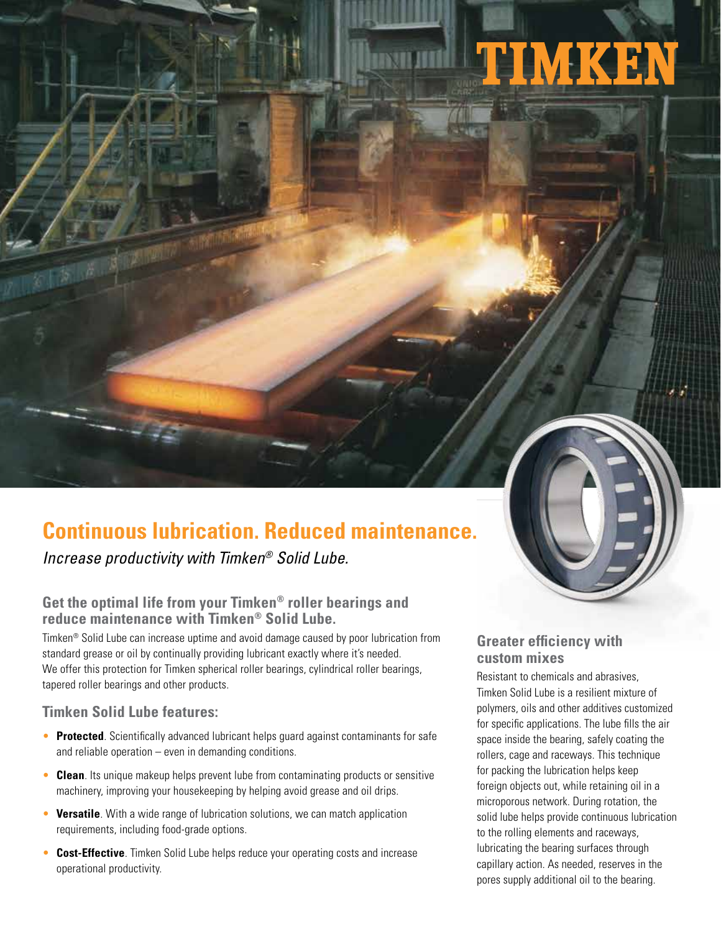# TIMKEN



Increase productivity with Timken® Solid Lube.

### **Get the optimal life from your Timken® roller bearings and reduce maintenance with Timken® Solid Lube.**

Timken® Solid Lube can increase uptime and avoid damage caused by poor lubrication from standard grease or oil by continually providing lubricant exactly where it's needed. We offer this protection for Timken spherical roller bearings, cylindrical roller bearings, tapered roller bearings and other products.

#### **Timken Solid Lube features:**

- **Protected**. Scientifically advanced lubricant helps guard against contaminants for safe and reliable operation – even in demanding conditions.
- **Clean**. Its unique makeup helps prevent lube from contaminating products or sensitive machinery, improving your housekeeping by helping avoid grease and oil drips.
- **Versatile**. With a wide range of lubrication solutions, we can match application requirements, including food-grade options.
- **Cost-Effective**. Timken Solid Lube helps reduce your operating costs and increase operational productivity.

#### **Greater efficiency with custom mixes**

Resistant to chemicals and abrasives, Timken Solid Lube is a resilient mixture of polymers, oils and other additives customized for specific applications. The lube fills the air space inside the bearing, safely coating the rollers, cage and raceways. This technique for packing the lubrication helps keep foreign objects out, while retaining oil in a microporous network. During rotation, the solid lube helps provide continuous lubrication to the rolling elements and raceways, lubricating the bearing surfaces through capillary action. As needed, reserves in the pores supply additional oil to the bearing.